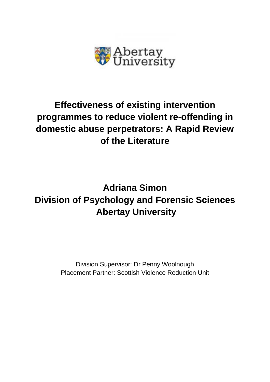

## **Effectiveness of existing intervention programmes to reduce violent re-offending in domestic abuse perpetrators: A Rapid Review of the Literature**

# **Adriana Simon Division of Psychology and Forensic Sciences Abertay University**

Division Supervisor: Dr Penny Woolnough Placement Partner: Scottish Violence Reduction Unit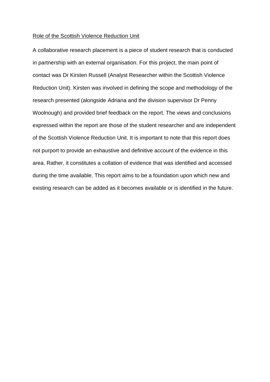#### Role of the Scottish Violence Reduction Unit

A collaborative research placement is a piece of student research that is conducted in partnership with an external organisation. For this project, the main point of contact was Dr Kirsten Russell (Analyst Researcher within the Scottish Violence Reduction Unit). Kirsten was involved in defining the scope and methodology of the research presented (alongside Adriana and the division supervisor Dr Penny Woolnough) and provided brief feedback on the report. The views and conclusions expressed within the report are those of the student researcher and are independent of the Scottish Violence Reduction Unit. It is important to note that this report does not purport to provide an exhaustive and definitive account of the evidence in this area. Rather, it constitutes a collation of evidence that was identified and accessed during the time available. This report aims to be a foundation upon which new and existing research can be added as it becomes available or is identified in the future.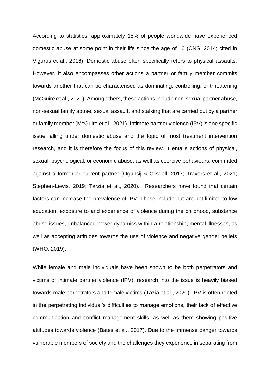According to statistics, approximately 15% of people worldwide have experienced domestic abuse at some point in their life since the age of 16 (ONS, 2014; cited in Vigurus et al., 2016). Domestic abuse often specifically refers to physical assaults. However, it also encompasses other actions a partner or family member commits towards another that can be characterised as dominating, controlling, or threatening (McGuire et al., 2021). Among others, these actions include non-sexual partner abuse, non-sexual family abuse, sexual assault, and stalking that are carried out by a partner or family member (McGuire et al., 2021). Intimate partner violence (IPV) is one specific issue falling under domestic abuse and the topic of most treatment intervention research, and it is therefore the focus of this review. It entails actions of physical, sexual, psychological, or economic abuse, as well as coercive behaviours, committed against a former or current partner (Ogunsij & Clisdell, 2017; Travers et al., 2021; Stephen-Lewis, 2019; Tarzia et al., 2020). Researchers have found that certain factors can increase the prevalence of IPV. These include but are not limited to low education, exposure to and experience of violence during the childhood, substance abuse issues, unbalanced power dynamics within a relationship, mental illnesses, as well as accepting attitudes towards the use of violence and negative gender beliefs (WHO, 2019).

While female and male individuals have been shown to be both perpetrators and victims of intimate partner violence (IPV), research into the issue is heavily biased towards male perpetrators and female victims (Tazia et al., 2020). IPV is often rooted in the perpetrating individual's difficulties to manage emotions, their lack of effective communication and conflict management skills, as well as them showing positive attitudes towards violence (Bates et al., 2017). Due to the immense danger towards vulnerable members of society and the challenges they experience in separating from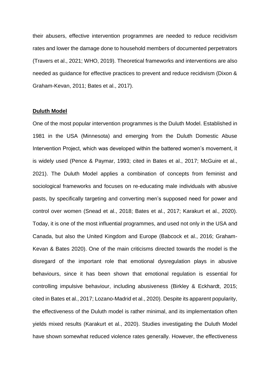their abusers, effective intervention programmes are needed to reduce recidivism rates and lower the damage done to household members of documented perpetrators (Travers et al., 2021; WHO, 2019). Theoretical frameworks and interventions are also needed as guidance for effective practices to prevent and reduce recidivism (Dixon & Graham-Kevan, 2011; Bates et al., 2017).

#### **Duluth Model**

One of the most popular intervention programmes is the Duluth Model. Established in 1981 in the USA (Minnesota) and emerging from the Duluth Domestic Abuse Intervention Project, which was developed within the battered women's movement, it is widely used (Pence & Paymar, 1993; cited in Bates et al., 2017; McGuire et al., 2021). The Duluth Model applies a combination of concepts from feminist and sociological frameworks and focuses on re-educating male individuals with abusive pasts, by specifically targeting and converting men's supposed need for power and control over women (Snead et al., 2018; Bates et al., 2017; Karakurt et al., 2020). Today, it is one of the most influential programmes, and used not only in the USA and Canada, but also the United Kingdom and Europe (Babcock et al., 2016; Graham-Kevan & Bates 2020). One of the main criticisms directed towards the model is the disregard of the important role that emotional dysregulation plays in abusive behaviours, since it has been shown that emotional regulation is essential for controlling impulsive behaviour, including abusiveness (Birkley & Eckhardt, 2015; cited in Bates et al., 2017; Lozano-Madrid et al., 2020). Despite its apparent popularity, the effectiveness of the Duluth model is rather minimal, and its implementation often yields mixed results (Karakurt et al., 2020). Studies investigating the Duluth Model have shown somewhat reduced violence rates generally. However, the effectiveness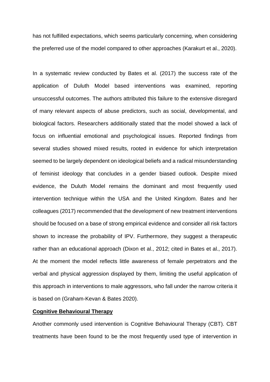has not fulfilled expectations, which seems particularly concerning, when considering the preferred use of the model compared to other approaches (Karakurt et al., 2020).

In a systematic review conducted by Bates et al. (2017) the success rate of the application of Duluth Model based interventions was examined, reporting unsuccessful outcomes. The authors attributed this failure to the extensive disregard of many relevant aspects of abuse predictors, such as social, developmental, and biological factors. Researchers additionally stated that the model showed a lack of focus on influential emotional and psychological issues. Reported findings from several studies showed mixed results, rooted in evidence for which interpretation seemed to be largely dependent on ideological beliefs and a radical misunderstanding of feminist ideology that concludes in a gender biased outlook. Despite mixed evidence, the Duluth Model remains the dominant and most frequently used intervention technique within the USA and the United Kingdom. Bates and her colleagues (2017) recommended that the development of new treatment interventions should be focused on a base of strong empirical evidence and consider all risk factors shown to increase the probability of IPV. Furthermore, they suggest a therapeutic rather than an educational approach (Dixon et al., 2012; cited in Bates et al., 2017). At the moment the model reflects little awareness of female perpetrators and the verbal and physical aggression displayed by them, limiting the useful application of this approach in interventions to male aggressors, who fall under the narrow criteria it is based on (Graham-Kevan & Bates 2020).

### **Cognitive Behavioural Therapy**

Another commonly used intervention is Cognitive Behavioural Therapy (CBT). CBT treatments have been found to be the most frequently used type of intervention in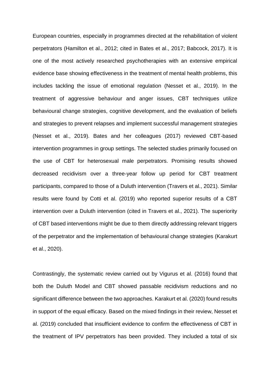European countries, especially in programmes directed at the rehabilitation of violent perpetrators (Hamilton et al., 2012; cited in Bates et al., 2017; Babcock, 2017). It is one of the most actively researched psychotherapies with an extensive empirical evidence base showing effectiveness in the treatment of mental health problems, this includes tackling the issue of emotional regulation (Nesset et al., 2019). In the treatment of aggressive behaviour and anger issues, CBT techniques utilize behavioural change strategies, cognitive development, and the evaluation of beliefs and strategies to prevent relapses and implement successful management strategies (Nesset et al., 2019). Bates and her colleagues (2017) reviewed CBT-based intervention programmes in group settings. The selected studies primarily focused on the use of CBT for heterosexual male perpetrators. Promising results showed decreased recidivism over a three-year follow up period for CBT treatment participants, compared to those of a Duluth intervention (Travers et al., 2021). Similar results were found by Cotti et al. (2019) who reported superior results of a CBT intervention over a Duluth intervention (cited in Travers et al., 2021). The superiority of CBT based interventions might be due to them directly addressing relevant triggers of the perpetrator and the implementation of behavioural change strategies (Karakurt et al., 2020).

Contrastingly, the systematic review carried out by Vigurus et al. (2016) found that both the Duluth Model and CBT showed passable recidivism reductions and no significant difference between the two approaches. Karakurt et al. (2020) found results in support of the equal efficacy. Based on the mixed findings in their review, Nesset et al. (2019) concluded that insufficient evidence to confirm the effectiveness of CBT in the treatment of IPV perpetrators has been provided. They included a total of six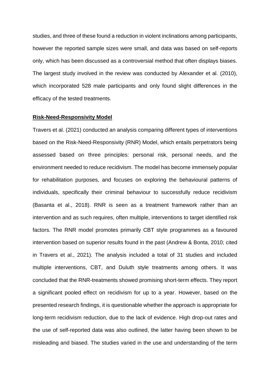studies, and three of these found a reduction in violent inclinations among participants, however the reported sample sizes were small, and data was based on self-reports only, which has been discussed as a controversial method that often displays biases. The largest study involved in the review was conducted by Alexander et al. (2010), which incorporated 528 male participants and only found slight differences in the efficacy of the tested treatments.

#### **Risk-Need-Responsivity Model**

Travers et al. (2021) conducted an analysis comparing different types of interventions based on the Risk-Need-Responsivity (RNR) Model, which entails perpetrators being assessed based on three principles: personal risk, personal needs, and the environment needed to reduce recidivism. The model has become immensely popular for rehabilitation purposes, and focuses on exploring the behavioural patterns of individuals, specifically their criminal behaviour to successfully reduce recidivism (Basanta et al., 2018). RNR is seen as a treatment framework rather than an intervention and as such requires, often multiple, interventions to target identified risk factors. The RNR model promotes primarily CBT style programmes as a favoured intervention based on superior results found in the past (Andrew & Bonta, 2010; cited in Travers et al., 2021). The analysis included a total of 31 studies and included multiple interventions, CBT, and Duluth style treatments among others. It was concluded that the RNR-treatments showed promising short-term effects. They report a significant pooled effect on recidivism for up to a year. However, based on the presented research findings, it is questionable whether the approach is appropriate for long-term recidivism reduction, due to the lack of evidence. High drop-out rates and the use of self-reported data was also outlined, the latter having been shown to be misleading and biased. The studies varied in the use and understanding of the term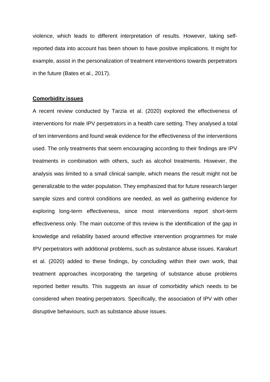violence, which leads to different interpretation of results. However, taking selfreported data into account has been shown to have positive implications. It might for example, assist in the personalization of treatment interventions towards perpetrators in the future (Bates et al., 2017).

#### **Comorbidity issues**

A recent review conducted by Tarzia et al. (2020) explored the effectiveness of interventions for male IPV perpetrators in a health care setting. They analysed a total of ten interventions and found weak evidence for the effectiveness of the interventions used. The only treatments that seem encouraging according to their findings are IPV treatments in combination with others, such as alcohol treatments. However, the analysis was limited to a small clinical sample, which means the result might not be generalizable to the wider population. They emphasized that for future research larger sample sizes and control conditions are needed, as well as gathering evidence for exploring long-term effectiveness, since most interventions report short-term effectiveness only. The main outcome of this review is the identification of the gap in knowledge and reliability based around effective intervention programmes for male IPV perpetrators with additional problems, such as substance abuse issues. Karakurt et al. (2020) added to these findings, by concluding within their own work, that treatment approaches incorporating the targeting of substance abuse problems reported better results. This suggests an issue of comorbidity which needs to be considered when treating perpetrators. Specifically, the association of IPV with other disruptive behaviours, such as substance abuse issues.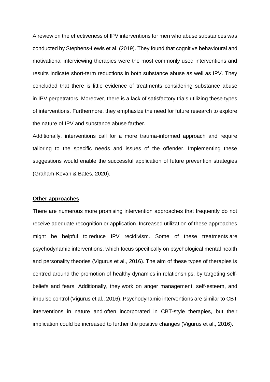A review on the effectiveness of IPV interventions for men who abuse substances was conducted by Stephens-Lewis et al. (2019). They found that cognitive behavioural and motivational interviewing therapies were the most commonly used interventions and results indicate short-term reductions in both substance abuse as well as IPV. They concluded that there is little evidence of treatments considering substance abuse in IPV perpetrators. Moreover, there is a lack of satisfactory trials utilizing these types of interventions. Furthermore, they emphasize the need for future research to explore the nature of IPV and substance abuse farther.

Additionally, interventions call for a more trauma-informed approach and require tailoring to the specific needs and issues of the offender. Implementing these suggestions would enable the successful application of future prevention strategies (Graham-Kevan & Bates, 2020).

#### **Other approaches**

There are numerous more promising intervention approaches that frequently do not receive adequate recognition or application. Increased utilization of these approaches might be helpful to reduce IPV recidivism. Some of these treatments are psychodynamic interventions, which focus specifically on psychological mental health and personality theories (Vigurus et al., 2016). The aim of these types of therapies is centred around the promotion of healthy dynamics in relationships, by targeting selfbeliefs and fears. Additionally, they work on anger management, self-esteem, and impulse control (Vigurus et al., 2016). Psychodynamic interventions are similar to CBT interventions in nature and often incorporated in CBT-style therapies, but their implication could be increased to further the positive changes (Vigurus et al., 2016).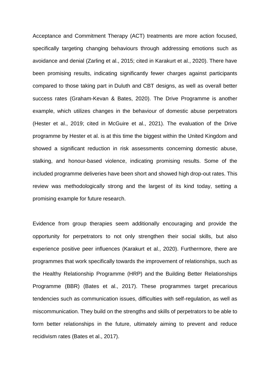Acceptance and Commitment Therapy (ACT) treatments are more action focused, specifically targeting changing behaviours through addressing emotions such as avoidance and denial (Zarling et al., 2015; cited in Karakurt et al., 2020). There have been promising results, indicating significantly fewer charges against participants compared to those taking part in Duluth and CBT designs, as well as overall better success rates (Graham-Kevan & Bates, 2020). The Drive Programme is another example, which utilizes changes in the behaviour of domestic abuse perpetrators (Hester et al., 2019; cited in McGuire et al., 2021). The evaluation of the Drive programme by Hester et al. is at this time the biggest within the United Kingdom and showed a significant reduction in risk assessments concerning domestic abuse, stalking, and honour-based violence, indicating promising results. Some of the included programme deliveries have been short and showed high drop-out rates. This review was methodologically strong and the largest of its kind today, setting a promising example for future research.

Evidence from group therapies seem additionally encouraging and provide the opportunity for perpetrators to not only strengthen their social skills, but also experience positive peer influences (Karakurt et al., 2020). Furthermore, there are programmes that work specifically towards the improvement of relationships, such as the Healthy Relationship Programme (HRP) and the Building Better Relationships Programme (BBR) (Bates et al., 2017). These programmes target precarious tendencies such as communication issues, difficulties with self-regulation, as well as miscommunication. They build on the strengths and skills of perpetrators to be able to form better relationships in the future, ultimately aiming to prevent and reduce recidivism rates (Bates et al., 2017).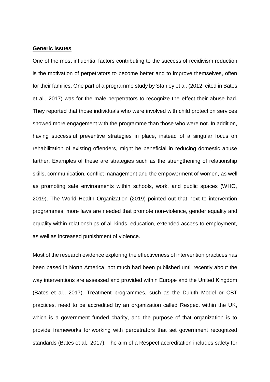#### **Generic issues**

One of the most influential factors contributing to the success of recidivism reduction is the motivation of perpetrators to become better and to improve themselves, often for their families. One part of a programme study by Stanley et al. (2012; cited in Bates et al., 2017) was for the male perpetrators to recognize the effect their abuse had. They reported that those individuals who were involved with child protection services showed more engagement with the programme than those who were not. In addition, having successful preventive strategies in place, instead of a singular focus on rehabilitation of existing offenders, might be beneficial in reducing domestic abuse farther. Examples of these are strategies such as the strengthening of relationship skills, communication, conflict management and the empowerment of women, as well as promoting safe environments within schools, work, and public spaces (WHO, 2019). The World Health Organization (2019) pointed out that next to intervention programmes, more laws are needed that promote non-violence, gender equality and equality within relationships of all kinds, education, extended access to employment, as well as increased punishment of violence.

Most of the research evidence exploring the effectiveness of intervention practices has been based in North America, not much had been published until recently about the way interventions are assessed and provided within Europe and the United Kingdom (Bates et al., 2017). Treatment programmes, such as the Duluth Model or CBT practices, need to be accredited by an organization called Respect within the UK, which is a government funded charity, and the purpose of that organization is to provide frameworks for working with perpetrators that set government recognized standards (Bates et al., 2017). The aim of a Respect accreditation includes safety for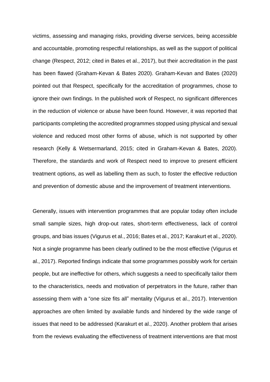victims, assessing and managing risks, providing diverse services, being accessible and accountable, promoting respectful relationships, as well as the support of political change (Respect, 2012; cited in Bates et al., 2017), but their accreditation in the past has been flawed (Graham-Kevan & Bates 2020). Graham-Kevan and Bates (2020) pointed out that Respect, specifically for the accreditation of programmes, chose to ignore their own findings. In the published work of Respect, no significant differences in the reduction of violence or abuse have been found. However, it was reported that participants completing the accredited programmes stopped using physical and sexual violence and reduced most other forms of abuse, which is not supported by other research (Kelly & Wetsermarland, 2015; cited in Graham-Kevan & Bates, 2020). Therefore, the standards and work of Respect need to improve to present efficient treatment options, as well as labelling them as such, to foster the effective reduction and prevention of domestic abuse and the improvement of treatment interventions.

Generally, issues with intervention programmes that are popular today often include small sample sizes, high drop-out rates, short-term effectiveness, lack of control groups, and bias issues (Vigurus et al., 2016; Bates et al., 2017; Karakurt et al., 2020). Not a single programme has been clearly outlined to be the most effective (Vigurus et al., 2017). Reported findings indicate that some programmes possibly work for certain people, but are ineffective for others, which suggests a need to specifically tailor them to the characteristics, needs and motivation of perpetrators in the future, rather than assessing them with a "one size fits all" mentality (Vigurus et al., 2017). Intervention approaches are often limited by available funds and hindered by the wide range of issues that need to be addressed (Karakurt et al., 2020). Another problem that arises from the reviews evaluating the effectiveness of treatment interventions are that most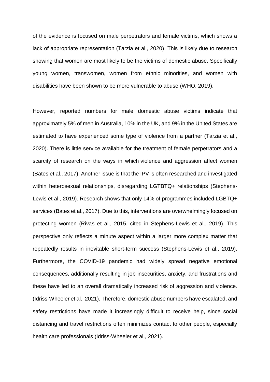of the evidence is focused on male perpetrators and female victims, which shows a lack of appropriate representation (Tarzia et al., 2020). This is likely due to research showing that women are most likely to be the victims of domestic abuse. Specifically young women, transwomen, women from ethnic minorities, and women with disabilities have been shown to be more vulnerable to abuse (WHO, 2019).

However, reported numbers for male domestic abuse victims indicate that approximately 5% of men in Australia, 10% in the UK, and 9% in the United States are estimated to have experienced some type of violence from a partner (Tarzia et al., 2020). There is little service available for the treatment of female perpetrators and a scarcity of research on the ways in which violence and aggression affect women (Bates et al., 2017). Another issue is that the IPV is often researched and investigated within heterosexual relationships, disregarding LGTBTQ+ relationships (Stephens-Lewis et al., 2019). Research shows that only 14% of programmes included LGBTQ+ services (Bates et al., 2017). Due to this, interventions are overwhelmingly focused on protecting women (Rivas et al., 2015, cited in Stephens-Lewis et al., 2019). This perspective only reflects a minute aspect within a larger more complex matter that repeatedly results in inevitable short-term success (Stephens-Lewis et al., 2019). Furthermore, the COVID-19 pandemic had widely spread negative emotional consequences, additionally resulting in job insecurities, anxiety, and frustrations and these have led to an overall dramatically increased risk of aggression and violence. (Idriss-Wheeler et al., 2021). Therefore, domestic abuse numbers have escalated, and safety restrictions have made it increasingly difficult to receive help, since social distancing and travel restrictions often minimizes contact to other people, especially health care professionals (Idriss-Wheeler et al., 2021).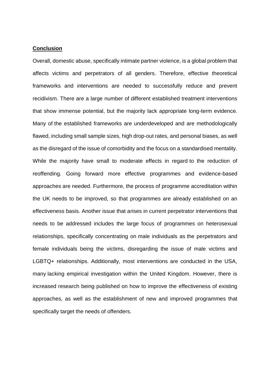#### **Conclusion**

Overall, domestic abuse, specifically intimate partner violence, is a global problem that affects victims and perpetrators of all genders. Therefore, effective theoretical frameworks and interventions are needed to successfully reduce and prevent recidivism. There are a large number of different established treatment interventions that show immense potential, but the majority lack appropriate long-term evidence. Many of the established frameworks are underdeveloped and are methodologically flawed, including small sample sizes, high drop-out rates, and personal biases, as well as the disregard of the issue of comorbidity and the focus on a standardised mentality. While the majority have small to moderate effects in regard to the reduction of reoffending. Going forward more effective programmes and evidence-based approaches are needed. Furthermore, the process of programme accreditation within the UK needs to be improved, so that programmes are already established on an effectiveness basis. Another issue that arises in current perpetrator interventions that needs to be addressed includes the large focus of programmes on heterosexual relationships, specifically concentrating on male individuals as the perpetrators and female individuals being the victims, disregarding the issue of male victims and LGBTQ+ relationships. Additionally, most interventions are conducted in the USA, many lacking empirical investigation within the United Kingdom. However, there is increased research being published on how to improve the effectiveness of existing approaches, as well as the establishment of new and improved programmes that specifically target the needs of offenders.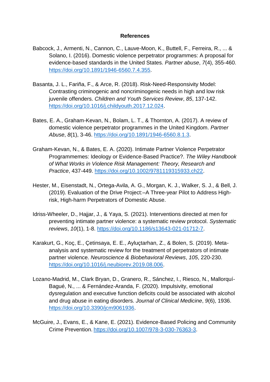### **References**

- Babcock, J., Armenti, N., Cannon, C., Lauve-Moon, K., Buttell, F., Ferreira, R., ... & Solano, I. (2016). Domestic violence perpetrator programmes: A proposal for evidence-based standards in the United States. *Partner abuse*, *7*(4), 355-460. [https://doi.org/10.1891/1946-6560.7.4.355.](https://doi.org/10.1891/1946-6560.7.4.355)
- Basanta, J. L., Fariña, F., & Arce, R. (2018). Risk-Need-Responsivity Model: Contrasting criminogenic and noncriminogenic needs in high and low risk juvenile offenders. *Children and Youth Services Review*, *85*, 137-142. [https://doi.org/10.1016/j.childyouth.2017.12.024.](https://doi.org/10.1016/j.childyouth.2017.12.024)
- Bates, E. A., Graham-Kevan, N., Bolam, L. T., & Thornton, A. (2017). A review of domestic violence perpetrator programmes in the United Kingdom. *Partner Abuse*, *8*(1), 3-46. [https://doi.org/10.1891/1946-6560.8.1.3.](https://doi.org/10.1891/1946-6560.8.1.3)
- Graham‐Kevan, N., & Bates, E. A. (2020). Intimate Partner Violence Perpetrator Programmemes: Ideology or Evidence‐Based Practice?. *The Wiley Handbook of What Works in Violence Risk Management: Theory, Research and Practice*, 437-449. [https://doi.org/10.1002/9781119315933.ch22.](https://doi.org/10.1002/9781119315933.ch22)
- Hester, M., Eisenstadt, N., Ortega-Avila, A. G., Morgan, K. J., Walker, S. J., & Bell, J. (2019). Evaluation of the Drive Project:–A Three-year Pilot to Address Highrisk, High-harm Perpetrators of Domestic Abuse.
- Idriss-Wheeler, D., Hajjar, J., & Yaya, S. (2021). Interventions directed at men for preventing intimate partner violence: a systematic review protocol. *Systematic reviews*, *10*(1), 1-8. [https://doi.org/10.1186/s13643-021-01712-7.](https://doi.org/10.1186/s13643-021-01712-7)
- Karakurt, G., Koç, E., Çetinsaya, E. E., Ayluçtarhan, Z., & Bolen, S. (2019). Metaanalysis and systematic review for the treatment of perpetrators of intimate partner violence. *Neuroscience & Biobehavioral Reviews*, *105*, 220-230. [https://doi.org/10.1016/j.neubiorev.2019.08.006.](https://doi.org/10.1016/j.neubiorev.2019.08.006)
- Lozano-Madrid, M., Clark Bryan, D., Granero, R., Sánchez, I., Riesco, N., Mallorquí-Bagué, N., ... & Fernández-Aranda, F. (2020). Impulsivity, emotional dysregulation and executive function deficits could be associated with alcohol and drug abuse in eating disorders. *Journal of Clinical Medicine*, *9*(6), 1936. [https://doi.org/10.3390/jcm9061936.](https://doi.org/10.3390/jcm9061936)
- McGuire, J., Evans, E., & Kane, E. (2021). Evidence-Based Policing and Community Crime Prevention. [https://doi.org/10.1007/978-3-030-76363-3.](https://doi.org/10.1007/978-3-030-76363-3)